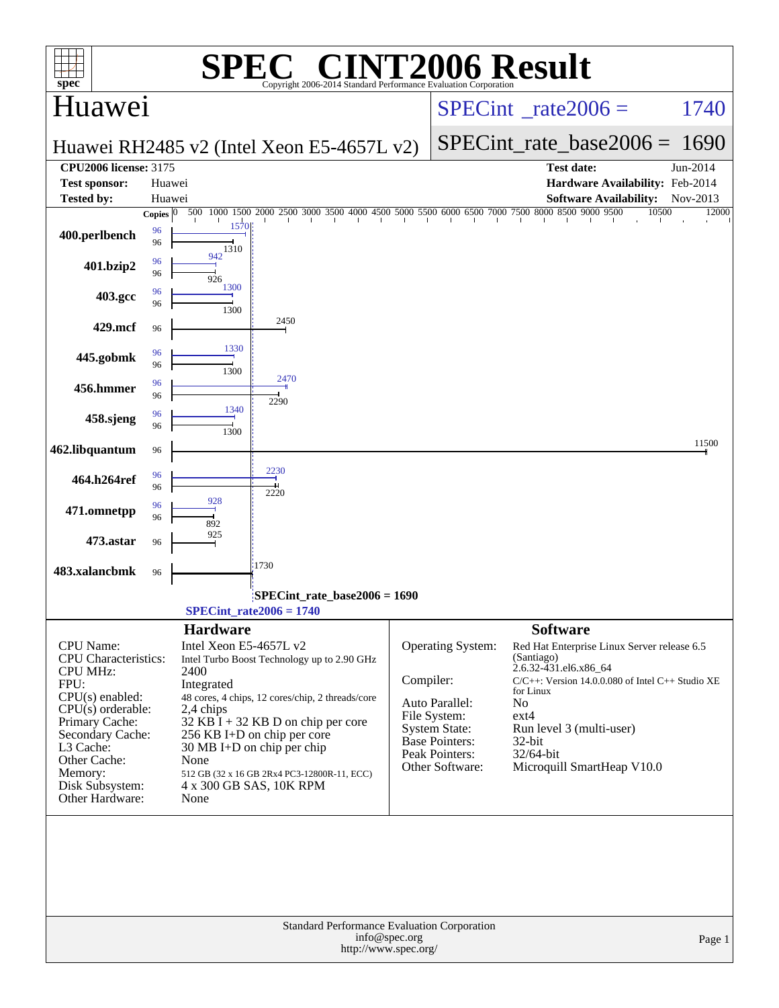| spec <sup>®</sup>                         |                       |                                                           | $\bigcap$ $\mathbb{R}$ $\bigcap$ |                                                                     |               | <b>INT2006 Result</b><br>Copyright 2006-2014 Standard Performance Evaluation Cornoration                     |                            |                                                  |       |          |
|-------------------------------------------|-----------------------|-----------------------------------------------------------|----------------------------------|---------------------------------------------------------------------|---------------|--------------------------------------------------------------------------------------------------------------|----------------------------|--------------------------------------------------|-------|----------|
| Huawei                                    |                       |                                                           |                                  | $SPECint^{\circ}$ rate $2006 =$                                     |               |                                                                                                              |                            | 1740                                             |       |          |
| Huawei RH2485 v2 (Intel Xeon E5-4657L v2) |                       |                                                           |                                  |                                                                     |               | $SPECint_rate_base2006 = 1690$                                                                               |                            |                                                  |       |          |
| <b>CPU2006 license: 3175</b>              |                       |                                                           |                                  |                                                                     |               |                                                                                                              |                            | <b>Test date:</b>                                |       | Jun-2014 |
| <b>Test sponsor:</b>                      | Huawei                |                                                           |                                  |                                                                     |               |                                                                                                              |                            | Hardware Availability: Feb-2014                  |       |          |
| <b>Tested by:</b>                         | Huawei                |                                                           |                                  |                                                                     |               |                                                                                                              |                            | <b>Software Availability:</b>                    |       | Nov-2013 |
|                                           | Copies $\overline{0}$ | 500                                                       |                                  |                                                                     |               | $1000\ 1500\ 2000\ 2500\ 3000\ 3500\ 4000\ 4500\ 5000\ 5500\ 6000\ 6500\ 7000\ 7500\ 8000\ 8500\ 9000\ 9500$ |                            |                                                  | 10500 | 12000    |
| 400.perlbench                             | 96<br>96              | 1570<br>1310                                              |                                  |                                                                     |               |                                                                                                              |                            |                                                  |       |          |
| 401.bzip2                                 | 96<br>96              | 942<br>926                                                |                                  |                                                                     |               |                                                                                                              |                            |                                                  |       |          |
| 403.gcc                                   | 96<br>96              | 1300<br>1300                                              |                                  |                                                                     |               |                                                                                                              |                            |                                                  |       |          |
| 429.mcf                                   | 96                    |                                                           | 2450                             |                                                                     |               |                                                                                                              |                            |                                                  |       |          |
| 445.gobmk                                 | 96<br>96              | 1330<br>1300                                              |                                  |                                                                     |               |                                                                                                              |                            |                                                  |       |          |
| 456.hmmer                                 | 96<br>96              |                                                           | 2470<br>2290                     |                                                                     |               |                                                                                                              |                            |                                                  |       |          |
| 458.sjeng                                 | 96<br>96              | 1340<br>1300                                              |                                  |                                                                     |               |                                                                                                              |                            |                                                  |       |          |
| 462.libquantum                            | 96                    |                                                           | 2230                             |                                                                     |               |                                                                                                              |                            |                                                  |       | 11500    |
| 464.h264ref                               | 96<br>96              | 928                                                       | 2220                             |                                                                     |               |                                                                                                              |                            |                                                  |       |          |
| 471.omnetpp                               | 96<br>96              | 892                                                       |                                  |                                                                     |               |                                                                                                              |                            |                                                  |       |          |
| 473.astar                                 | 96                    | 925                                                       | 1730                             |                                                                     |               |                                                                                                              |                            |                                                  |       |          |
| 483.xalancbmk                             | 96                    |                                                           |                                  |                                                                     |               |                                                                                                              |                            |                                                  |       |          |
|                                           |                       | $SPECint_rate2006 = 1740$                                 |                                  | SPECint_rate_base2006 = 1690                                        |               |                                                                                                              |                            |                                                  |       |          |
|                                           |                       | <b>Hardware</b>                                           |                                  |                                                                     |               |                                                                                                              | <b>Software</b>            |                                                  |       |          |
| CPU Name:                                 |                       | Intel Xeon E5-4657L v2                                    |                                  |                                                                     |               | Operating System:                                                                                            |                            | Red Hat Enterprise Linux Server release 6.5      |       |          |
| <b>CPU</b> Characteristics:               |                       | Intel Turbo Boost Technology up to 2.90 GHz               |                                  |                                                                     |               |                                                                                                              | (Santiago)                 |                                                  |       |          |
| <b>CPU MHz:</b><br>FPU:                   |                       | 2400<br>Integrated                                        |                                  |                                                                     | Compiler:     |                                                                                                              | 2.6.32-431.el6.x86_64      | C/C++: Version 14.0.0.080 of Intel C++ Studio XE |       |          |
| $CPU(s)$ enabled:                         |                       | 48 cores, 4 chips, 12 cores/chip, 2 threads/core          |                                  |                                                                     |               |                                                                                                              | for Linux                  |                                                  |       |          |
| $CPU(s)$ orderable:                       |                       | 2,4 chips                                                 |                                  |                                                                     |               | Auto Parallel:<br>File System:                                                                               | N <sub>o</sub><br>$ext{4}$ |                                                  |       |          |
| Primary Cache:                            |                       | $32$ KB I + 32 KB D on chip per core                      |                                  |                                                                     |               | System State:                                                                                                |                            | Run level 3 (multi-user)                         |       |          |
| Secondary Cache:<br>L3 Cache:             |                       | 256 KB I+D on chip per core<br>30 MB I+D on chip per chip |                                  |                                                                     |               | <b>Base Pointers:</b>                                                                                        | 32-bit                     |                                                  |       |          |
| Other Cache:                              |                       | None                                                      |                                  |                                                                     |               | Peak Pointers:<br>Other Software:                                                                            | 32/64-bit                  | Microquill SmartHeap V10.0                       |       |          |
| Memory:                                   |                       | 512 GB (32 x 16 GB 2Rx4 PC3-12800R-11, ECC)               |                                  |                                                                     |               |                                                                                                              |                            |                                                  |       |          |
| Disk Subsystem:<br>Other Hardware:        |                       | 4 x 300 GB SAS, 10K RPM<br>None                           |                                  |                                                                     |               |                                                                                                              |                            |                                                  |       |          |
|                                           |                       |                                                           |                                  |                                                                     |               |                                                                                                              |                            |                                                  |       |          |
|                                           |                       |                                                           |                                  | Standard Performance Evaluation Corporation<br>http://www.spec.org/ | info@spec.org |                                                                                                              |                            |                                                  |       | Page 1   |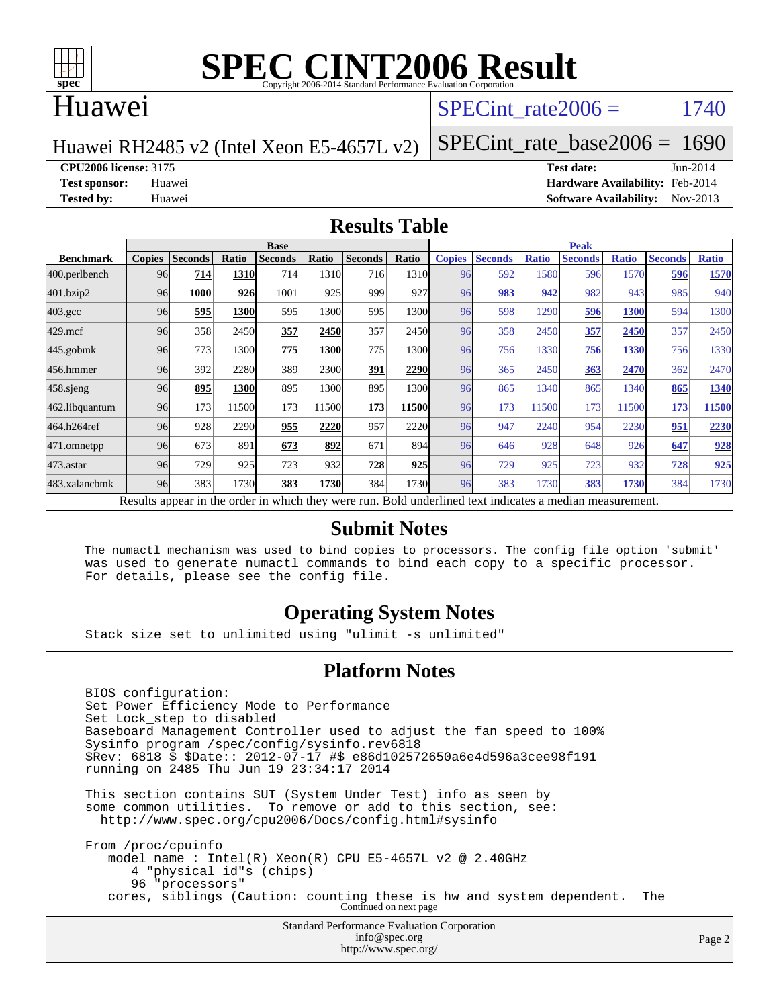

# **[SPEC CINT2006 Result](http://www.spec.org/auto/cpu2006/Docs/result-fields.html#SPECCINT2006Result)**

#### Huawei

#### SPECint rate $2006 = 1740$

Huawei RH2485 v2 (Intel Xeon E5-4657L v2)

[SPECint\\_rate\\_base2006 =](http://www.spec.org/auto/cpu2006/Docs/result-fields.html#SPECintratebase2006) 1690

**[CPU2006 license:](http://www.spec.org/auto/cpu2006/Docs/result-fields.html#CPU2006license)** 3175 **[Test date:](http://www.spec.org/auto/cpu2006/Docs/result-fields.html#Testdate)** Jun-2014

**[Test sponsor:](http://www.spec.org/auto/cpu2006/Docs/result-fields.html#Testsponsor)** Huawei **[Hardware Availability:](http://www.spec.org/auto/cpu2006/Docs/result-fields.html#HardwareAvailability)** Feb-2014 **[Tested by:](http://www.spec.org/auto/cpu2006/Docs/result-fields.html#Testedby)** Huawei **[Software Availability:](http://www.spec.org/auto/cpu2006/Docs/result-fields.html#SoftwareAvailability)** Nov-2013

#### **[Results Table](http://www.spec.org/auto/cpu2006/Docs/result-fields.html#ResultsTable)**

|                                                                                                          | <b>Base</b>   |                |       |                |       |                |       |               | <b>Peak</b>    |              |                |              |                |              |  |  |
|----------------------------------------------------------------------------------------------------------|---------------|----------------|-------|----------------|-------|----------------|-------|---------------|----------------|--------------|----------------|--------------|----------------|--------------|--|--|
| <b>Benchmark</b>                                                                                         | <b>Copies</b> | <b>Seconds</b> | Ratio | <b>Seconds</b> | Ratio | <b>Seconds</b> | Ratio | <b>Copies</b> | <b>Seconds</b> | <b>Ratio</b> | <b>Seconds</b> | <b>Ratio</b> | <b>Seconds</b> | <b>Ratio</b> |  |  |
| 400.perlbench                                                                                            | 96            | 714            | 1310  | 714            | 1310  | 716            | 1310  | 96            | 592            | 1580         | 596            | 1570         | 596            | 1570         |  |  |
| 401.bzip2                                                                                                | 96            | 1000           | 926   | 1001           | 925   | 999            | 927   | 96            | 983            | 942          | 982            | 943          | 985            | 940          |  |  |
| $403.\mathrm{gcc}$                                                                                       | 96            | 595            | 1300  | 595            | 1300  | 595            | 1300  | 96            | 598            | 1290         | 596            | 1300         | 594            | 1300         |  |  |
| $429$ .mcf                                                                                               | 96            | 358            | 2450  | 357            | 2450  | 357            | 2450  | 96            | 358            | 2450         | 357            | 2450         | 357            | 2450         |  |  |
| $445$ .gobmk                                                                                             | 96            | 773            | 1300  | 775            | 1300  | 775            | 1300  | 96            | 756            | 1330         | 756            | 1330         | 756            | 1330         |  |  |
| 456.hmmer                                                                                                | 96            | 392            | 2280  | 389            | 2300  | 391            | 2290  | 96            | 365            | 2450         | 363            | 2470         | 362            | 2470         |  |  |
| $458$ .sjeng                                                                                             | 96            | 895            | 1300  | 895            | 1300  | 895            | 1300  | 96            | 865            | 1340         | 865            | 1340         | 865            | 1340         |  |  |
| 462.libquantum                                                                                           | 96            | 173            | 11500 | 173            | 11500 | 173            | 11500 | 96            | 173            | 11500        | 173            | 11500        | 173            | 11500        |  |  |
| 464.h264ref                                                                                              | 96            | 928            | 2290  | 955            | 2220  | 957            | 2220  | 96            | 947            | 2240         | 954            | 2230         | 951            | 2230         |  |  |
| 471.omnetpp                                                                                              | 96            | 673            | 891   | 673            | 892   | 671            | 894   | 96            | 646            | 928          | 648            | 926          | 647            | 928          |  |  |
| 473.astar                                                                                                | 96            | 729            | 925   | 723            | 932   | 728            | 925   | 96            | 729            | 925          | 723            | 932          | 728            | 925          |  |  |
| 483.xalancbmk                                                                                            | 96            | 383            | 1730  | 383            | 1730  | 384            | 1730  | 96            | 383            | 1730         | 383            | 1730         | 384            | 1730         |  |  |
| Results appear in the order in which they were run. Bold underlined text indicates a median measurement. |               |                |       |                |       |                |       |               |                |              |                |              |                |              |  |  |

#### **[Submit Notes](http://www.spec.org/auto/cpu2006/Docs/result-fields.html#SubmitNotes)**

 The numactl mechanism was used to bind copies to processors. The config file option 'submit' was used to generate numactl commands to bind each copy to a specific processor. For details, please see the config file.

#### **[Operating System Notes](http://www.spec.org/auto/cpu2006/Docs/result-fields.html#OperatingSystemNotes)**

Stack size set to unlimited using "ulimit -s unlimited"

#### **[Platform Notes](http://www.spec.org/auto/cpu2006/Docs/result-fields.html#PlatformNotes)**

 BIOS configuration: Set Power Efficiency Mode to Performance Set Lock\_step to disabled Baseboard Management Controller used to adjust the fan speed to 100% Sysinfo program /spec/config/sysinfo.rev6818 \$Rev: 6818 \$ \$Date:: 2012-07-17 #\$ e86d102572650a6e4d596a3cee98f191 running on 2485 Thu Jun 19 23:34:17 2014

 This section contains SUT (System Under Test) info as seen by some common utilities. To remove or add to this section, see: <http://www.spec.org/cpu2006/Docs/config.html#sysinfo>

 From /proc/cpuinfo model name : Intel(R) Xeon(R) CPU E5-4657L v2 @ 2.40GHz 4 "physical id"s (chips) 96 "processors" cores, siblings (Caution: counting these is hw and system dependent. The Continued on next page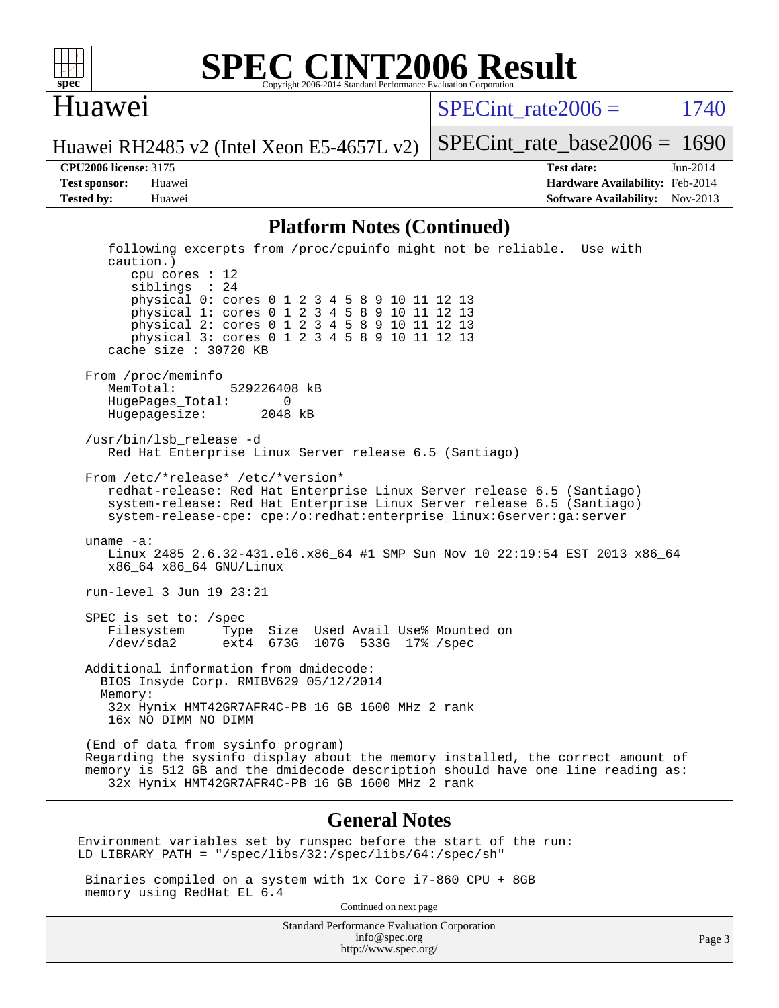

#### **[SPEC CINT2006 Result](http://www.spec.org/auto/cpu2006/Docs/result-fields.html#SPECCINT2006Result)** Copyright 2006-2014 Standard Performance Evaluation Corporation

#### Huawei

SPECint rate $2006 = 1740$ 

[SPECint\\_rate\\_base2006 =](http://www.spec.org/auto/cpu2006/Docs/result-fields.html#SPECintratebase2006) 1690

Huawei RH2485 v2 (Intel Xeon E5-4657L v2)

**[CPU2006 license:](http://www.spec.org/auto/cpu2006/Docs/result-fields.html#CPU2006license)** 3175 **[Test date:](http://www.spec.org/auto/cpu2006/Docs/result-fields.html#Testdate)** Jun-2014 **[Test sponsor:](http://www.spec.org/auto/cpu2006/Docs/result-fields.html#Testsponsor)** Huawei **[Hardware Availability:](http://www.spec.org/auto/cpu2006/Docs/result-fields.html#HardwareAvailability)** Feb-2014 **[Tested by:](http://www.spec.org/auto/cpu2006/Docs/result-fields.html#Testedby)** Huawei **[Software Availability:](http://www.spec.org/auto/cpu2006/Docs/result-fields.html#SoftwareAvailability)** Nov-2013

#### **[Platform Notes \(Continued\)](http://www.spec.org/auto/cpu2006/Docs/result-fields.html#PlatformNotes)**

 following excerpts from /proc/cpuinfo might not be reliable. Use with caution.) cpu cores : 12 siblings : 24 physical 0: cores 0 1 2 3 4 5 8 9 10 11 12 13 physical 1: cores 0 1 2 3 4 5 8 9 10 11 12 13 physical 2: cores 0 1 2 3 4 5 8 9 10 11 12 13 physical 3: cores 0 1 2 3 4 5 8 9 10 11 12 13 cache size : 30720 KB From /proc/meminfo MemTotal: 529226408 kB HugePages\_Total: 0<br>Hugepagesize: 2048 kB Hugepagesize: /usr/bin/lsb\_release -d Red Hat Enterprise Linux Server release 6.5 (Santiago) From /etc/\*release\* /etc/\*version\* redhat-release: Red Hat Enterprise Linux Server release 6.5 (Santiago) system-release: Red Hat Enterprise Linux Server release 6.5 (Santiago) system-release-cpe: cpe:/o:redhat:enterprise\_linux:6server:ga:server uname -a: Linux 2485 2.6.32-431.el6.x86\_64 #1 SMP Sun Nov 10 22:19:54 EST 2013 x86\_64 x86\_64 x86\_64 GNU/Linux run-level 3 Jun 19 23:21 SPEC is set to: /spec Filesystem Type Size Used Avail Use% Mounted on ext4 673G 107G 533G 17% / spec Additional information from dmidecode: BIOS Insyde Corp. RMIBV629 05/12/2014 Memory: 32x Hynix HMT42GR7AFR4C-PB 16 GB 1600 MHz 2 rank 16x NO DIMM NO DIMM (End of data from sysinfo program) Regarding the sysinfo display about the memory installed, the correct amount of memory is 512 GB and the dmidecode description should have one line reading as: 32x Hynix HMT42GR7AFR4C-PB 16 GB 1600 MHz 2 rank **[General Notes](http://www.spec.org/auto/cpu2006/Docs/result-fields.html#GeneralNotes)** Environment variables set by runspec before the start of the run: LD\_LIBRARY\_PATH = "/spec/libs/32:/spec/libs/64:/spec/sh" Binaries compiled on a system with 1x Core i7-860 CPU + 8GB memory using RedHat EL 6.4 Continued on next page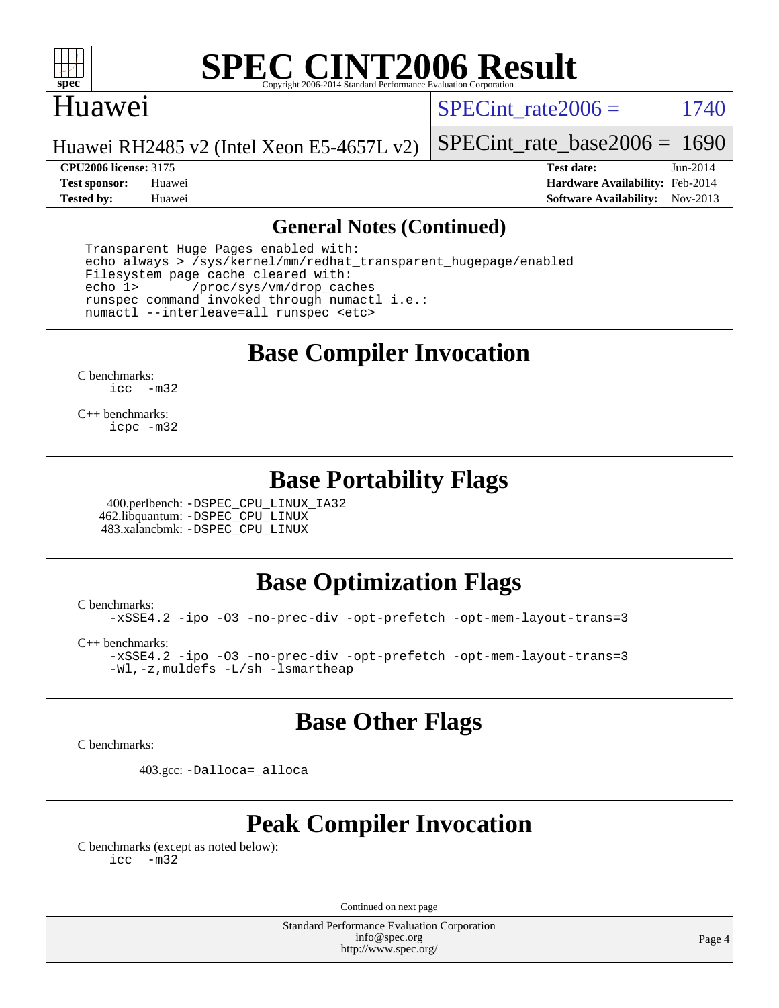

# **[SPEC CINT2006 Result](http://www.spec.org/auto/cpu2006/Docs/result-fields.html#SPECCINT2006Result)**

#### Huawei

SPECint rate $2006 = 1740$ 

Huawei RH2485 v2 (Intel Xeon E5-4657L v2)

**[CPU2006 license:](http://www.spec.org/auto/cpu2006/Docs/result-fields.html#CPU2006license)** 3175 **[Test date:](http://www.spec.org/auto/cpu2006/Docs/result-fields.html#Testdate)** Jun-2014

[SPECint\\_rate\\_base2006 =](http://www.spec.org/auto/cpu2006/Docs/result-fields.html#SPECintratebase2006) 1690

**[Test sponsor:](http://www.spec.org/auto/cpu2006/Docs/result-fields.html#Testsponsor)** Huawei **[Hardware Availability:](http://www.spec.org/auto/cpu2006/Docs/result-fields.html#HardwareAvailability)** Feb-2014 **[Tested by:](http://www.spec.org/auto/cpu2006/Docs/result-fields.html#Testedby)** Huawei **[Software Availability:](http://www.spec.org/auto/cpu2006/Docs/result-fields.html#SoftwareAvailability)** Nov-2013

#### **[General Notes \(Continued\)](http://www.spec.org/auto/cpu2006/Docs/result-fields.html#GeneralNotes)**

 Transparent Huge Pages enabled with: echo always > /sys/kernel/mm/redhat\_transparent\_hugepage/enabled Filesystem page cache cleared with: echo 1> /proc/sys/vm/drop\_caches runspec command invoked through numactl i.e.: numactl --interleave=all runspec <etc>

**[Base Compiler Invocation](http://www.spec.org/auto/cpu2006/Docs/result-fields.html#BaseCompilerInvocation)**

[C benchmarks](http://www.spec.org/auto/cpu2006/Docs/result-fields.html#Cbenchmarks): [icc -m32](http://www.spec.org/cpu2006/results/res2014q3/cpu2006-20140624-29998.flags.html#user_CCbase_intel_icc_5ff4a39e364c98233615fdd38438c6f2)

[C++ benchmarks:](http://www.spec.org/auto/cpu2006/Docs/result-fields.html#CXXbenchmarks) [icpc -m32](http://www.spec.org/cpu2006/results/res2014q3/cpu2006-20140624-29998.flags.html#user_CXXbase_intel_icpc_4e5a5ef1a53fd332b3c49e69c3330699)

### **[Base Portability Flags](http://www.spec.org/auto/cpu2006/Docs/result-fields.html#BasePortabilityFlags)**

 400.perlbench: [-DSPEC\\_CPU\\_LINUX\\_IA32](http://www.spec.org/cpu2006/results/res2014q3/cpu2006-20140624-29998.flags.html#b400.perlbench_baseCPORTABILITY_DSPEC_CPU_LINUX_IA32) 462.libquantum: [-DSPEC\\_CPU\\_LINUX](http://www.spec.org/cpu2006/results/res2014q3/cpu2006-20140624-29998.flags.html#b462.libquantum_baseCPORTABILITY_DSPEC_CPU_LINUX) 483.xalancbmk: [-DSPEC\\_CPU\\_LINUX](http://www.spec.org/cpu2006/results/res2014q3/cpu2006-20140624-29998.flags.html#b483.xalancbmk_baseCXXPORTABILITY_DSPEC_CPU_LINUX)

# **[Base Optimization Flags](http://www.spec.org/auto/cpu2006/Docs/result-fields.html#BaseOptimizationFlags)**

[C benchmarks](http://www.spec.org/auto/cpu2006/Docs/result-fields.html#Cbenchmarks):

[-xSSE4.2](http://www.spec.org/cpu2006/results/res2014q3/cpu2006-20140624-29998.flags.html#user_CCbase_f-xSSE42_f91528193cf0b216347adb8b939d4107) [-ipo](http://www.spec.org/cpu2006/results/res2014q3/cpu2006-20140624-29998.flags.html#user_CCbase_f-ipo) [-O3](http://www.spec.org/cpu2006/results/res2014q3/cpu2006-20140624-29998.flags.html#user_CCbase_f-O3) [-no-prec-div](http://www.spec.org/cpu2006/results/res2014q3/cpu2006-20140624-29998.flags.html#user_CCbase_f-no-prec-div) [-opt-prefetch](http://www.spec.org/cpu2006/results/res2014q3/cpu2006-20140624-29998.flags.html#user_CCbase_f-opt-prefetch) [-opt-mem-layout-trans=3](http://www.spec.org/cpu2006/results/res2014q3/cpu2006-20140624-29998.flags.html#user_CCbase_f-opt-mem-layout-trans_a7b82ad4bd7abf52556d4961a2ae94d5)

[C++ benchmarks:](http://www.spec.org/auto/cpu2006/Docs/result-fields.html#CXXbenchmarks)

[-xSSE4.2](http://www.spec.org/cpu2006/results/res2014q3/cpu2006-20140624-29998.flags.html#user_CXXbase_f-xSSE42_f91528193cf0b216347adb8b939d4107) [-ipo](http://www.spec.org/cpu2006/results/res2014q3/cpu2006-20140624-29998.flags.html#user_CXXbase_f-ipo) [-O3](http://www.spec.org/cpu2006/results/res2014q3/cpu2006-20140624-29998.flags.html#user_CXXbase_f-O3) [-no-prec-div](http://www.spec.org/cpu2006/results/res2014q3/cpu2006-20140624-29998.flags.html#user_CXXbase_f-no-prec-div) [-opt-prefetch](http://www.spec.org/cpu2006/results/res2014q3/cpu2006-20140624-29998.flags.html#user_CXXbase_f-opt-prefetch) [-opt-mem-layout-trans=3](http://www.spec.org/cpu2006/results/res2014q3/cpu2006-20140624-29998.flags.html#user_CXXbase_f-opt-mem-layout-trans_a7b82ad4bd7abf52556d4961a2ae94d5) [-Wl,-z,muldefs](http://www.spec.org/cpu2006/results/res2014q3/cpu2006-20140624-29998.flags.html#user_CXXbase_link_force_multiple1_74079c344b956b9658436fd1b6dd3a8a) [-L/sh -lsmartheap](http://www.spec.org/cpu2006/results/res2014q3/cpu2006-20140624-29998.flags.html#user_CXXbase_SmartHeap_32f6c82aa1ed9c52345d30cf6e4a0499)

### **[Base Other Flags](http://www.spec.org/auto/cpu2006/Docs/result-fields.html#BaseOtherFlags)**

[C benchmarks](http://www.spec.org/auto/cpu2006/Docs/result-fields.html#Cbenchmarks):

403.gcc: [-Dalloca=\\_alloca](http://www.spec.org/cpu2006/results/res2014q3/cpu2006-20140624-29998.flags.html#b403.gcc_baseEXTRA_CFLAGS_Dalloca_be3056838c12de2578596ca5467af7f3)

# **[Peak Compiler Invocation](http://www.spec.org/auto/cpu2006/Docs/result-fields.html#PeakCompilerInvocation)**

[C benchmarks \(except as noted below\)](http://www.spec.org/auto/cpu2006/Docs/result-fields.html#Cbenchmarksexceptasnotedbelow): [icc -m32](http://www.spec.org/cpu2006/results/res2014q3/cpu2006-20140624-29998.flags.html#user_CCpeak_intel_icc_5ff4a39e364c98233615fdd38438c6f2)

Continued on next page

Standard Performance Evaluation Corporation [info@spec.org](mailto:info@spec.org) <http://www.spec.org/>

Page 4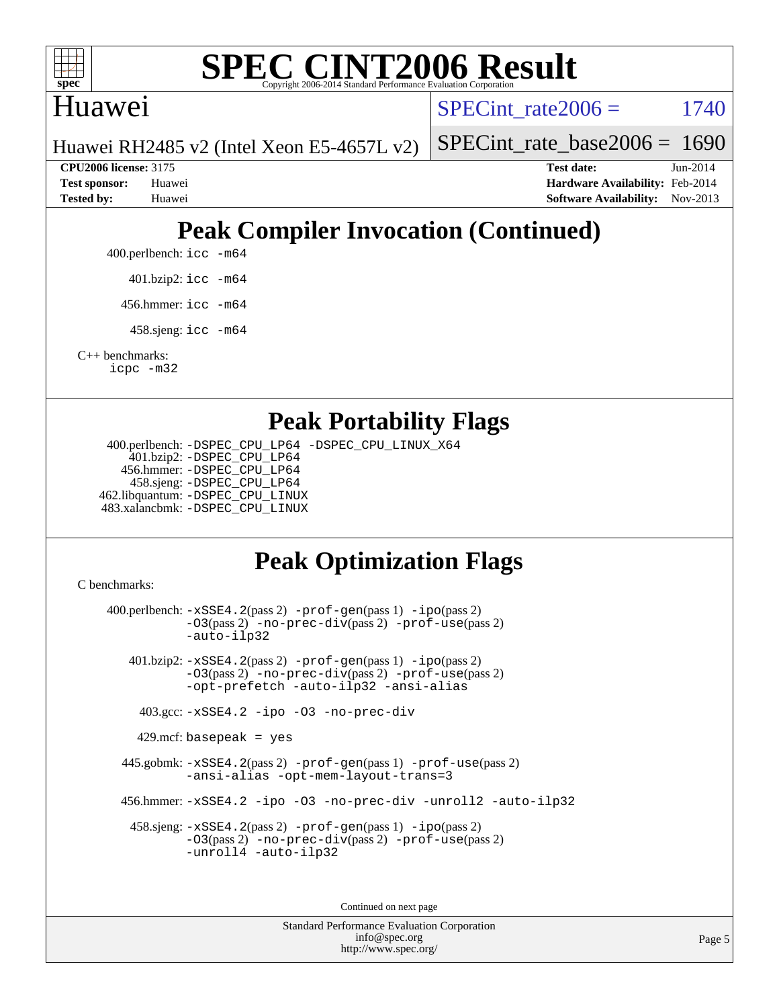

# **[SPEC CINT2006 Result](http://www.spec.org/auto/cpu2006/Docs/result-fields.html#SPECCINT2006Result)**

### Huawei

SPECint rate $2006 = 1740$ 

[SPECint\\_rate\\_base2006 =](http://www.spec.org/auto/cpu2006/Docs/result-fields.html#SPECintratebase2006) 1690

Huawei RH2485 v2 (Intel Xeon E5-4657L v2)

**[CPU2006 license:](http://www.spec.org/auto/cpu2006/Docs/result-fields.html#CPU2006license)** 3175 **[Test date:](http://www.spec.org/auto/cpu2006/Docs/result-fields.html#Testdate)** Jun-2014 **[Test sponsor:](http://www.spec.org/auto/cpu2006/Docs/result-fields.html#Testsponsor)** Huawei **[Hardware Availability:](http://www.spec.org/auto/cpu2006/Docs/result-fields.html#HardwareAvailability)** Feb-2014 **[Tested by:](http://www.spec.org/auto/cpu2006/Docs/result-fields.html#Testedby)** Huawei **[Software Availability:](http://www.spec.org/auto/cpu2006/Docs/result-fields.html#SoftwareAvailability)** Nov-2013

# **[Peak Compiler Invocation \(Continued\)](http://www.spec.org/auto/cpu2006/Docs/result-fields.html#PeakCompilerInvocation)**

400.perlbench: [icc -m64](http://www.spec.org/cpu2006/results/res2014q3/cpu2006-20140624-29998.flags.html#user_peakCCLD400_perlbench_intel_icc_64bit_bda6cc9af1fdbb0edc3795bac97ada53)

401.bzip2: [icc -m64](http://www.spec.org/cpu2006/results/res2014q3/cpu2006-20140624-29998.flags.html#user_peakCCLD401_bzip2_intel_icc_64bit_bda6cc9af1fdbb0edc3795bac97ada53)

456.hmmer: [icc -m64](http://www.spec.org/cpu2006/results/res2014q3/cpu2006-20140624-29998.flags.html#user_peakCCLD456_hmmer_intel_icc_64bit_bda6cc9af1fdbb0edc3795bac97ada53)

458.sjeng: [icc -m64](http://www.spec.org/cpu2006/results/res2014q3/cpu2006-20140624-29998.flags.html#user_peakCCLD458_sjeng_intel_icc_64bit_bda6cc9af1fdbb0edc3795bac97ada53)

[C++ benchmarks:](http://www.spec.org/auto/cpu2006/Docs/result-fields.html#CXXbenchmarks) [icpc -m32](http://www.spec.org/cpu2006/results/res2014q3/cpu2006-20140624-29998.flags.html#user_CXXpeak_intel_icpc_4e5a5ef1a53fd332b3c49e69c3330699)

#### **[Peak Portability Flags](http://www.spec.org/auto/cpu2006/Docs/result-fields.html#PeakPortabilityFlags)**

 400.perlbench: [-DSPEC\\_CPU\\_LP64](http://www.spec.org/cpu2006/results/res2014q3/cpu2006-20140624-29998.flags.html#b400.perlbench_peakCPORTABILITY_DSPEC_CPU_LP64) [-DSPEC\\_CPU\\_LINUX\\_X64](http://www.spec.org/cpu2006/results/res2014q3/cpu2006-20140624-29998.flags.html#b400.perlbench_peakCPORTABILITY_DSPEC_CPU_LINUX_X64) 401.bzip2: [-DSPEC\\_CPU\\_LP64](http://www.spec.org/cpu2006/results/res2014q3/cpu2006-20140624-29998.flags.html#suite_peakCPORTABILITY401_bzip2_DSPEC_CPU_LP64) 456.hmmer: [-DSPEC\\_CPU\\_LP64](http://www.spec.org/cpu2006/results/res2014q3/cpu2006-20140624-29998.flags.html#suite_peakCPORTABILITY456_hmmer_DSPEC_CPU_LP64) 458.sjeng: [-DSPEC\\_CPU\\_LP64](http://www.spec.org/cpu2006/results/res2014q3/cpu2006-20140624-29998.flags.html#suite_peakCPORTABILITY458_sjeng_DSPEC_CPU_LP64) 462.libquantum: [-DSPEC\\_CPU\\_LINUX](http://www.spec.org/cpu2006/results/res2014q3/cpu2006-20140624-29998.flags.html#b462.libquantum_peakCPORTABILITY_DSPEC_CPU_LINUX) 483.xalancbmk: [-DSPEC\\_CPU\\_LINUX](http://www.spec.org/cpu2006/results/res2014q3/cpu2006-20140624-29998.flags.html#b483.xalancbmk_peakCXXPORTABILITY_DSPEC_CPU_LINUX)

# **[Peak Optimization Flags](http://www.spec.org/auto/cpu2006/Docs/result-fields.html#PeakOptimizationFlags)**

[C benchmarks](http://www.spec.org/auto/cpu2006/Docs/result-fields.html#Cbenchmarks):

 400.perlbench: [-xSSE4.2](http://www.spec.org/cpu2006/results/res2014q3/cpu2006-20140624-29998.flags.html#user_peakPASS2_CFLAGSPASS2_LDCFLAGS400_perlbench_f-xSSE42_f91528193cf0b216347adb8b939d4107)(pass 2) [-prof-gen](http://www.spec.org/cpu2006/results/res2014q3/cpu2006-20140624-29998.flags.html#user_peakPASS1_CFLAGSPASS1_LDCFLAGS400_perlbench_prof_gen_e43856698f6ca7b7e442dfd80e94a8fc)(pass 1) [-ipo](http://www.spec.org/cpu2006/results/res2014q3/cpu2006-20140624-29998.flags.html#user_peakPASS2_CFLAGSPASS2_LDCFLAGS400_perlbench_f-ipo)(pass 2) [-O3](http://www.spec.org/cpu2006/results/res2014q3/cpu2006-20140624-29998.flags.html#user_peakPASS2_CFLAGSPASS2_LDCFLAGS400_perlbench_f-O3)(pass 2) [-no-prec-div](http://www.spec.org/cpu2006/results/res2014q3/cpu2006-20140624-29998.flags.html#user_peakPASS2_CFLAGSPASS2_LDCFLAGS400_perlbench_f-no-prec-div)(pass 2) [-prof-use](http://www.spec.org/cpu2006/results/res2014q3/cpu2006-20140624-29998.flags.html#user_peakPASS2_CFLAGSPASS2_LDCFLAGS400_perlbench_prof_use_bccf7792157ff70d64e32fe3e1250b55)(pass 2) [-auto-ilp32](http://www.spec.org/cpu2006/results/res2014q3/cpu2006-20140624-29998.flags.html#user_peakCOPTIMIZE400_perlbench_f-auto-ilp32) 401.bzip2: [-xSSE4.2](http://www.spec.org/cpu2006/results/res2014q3/cpu2006-20140624-29998.flags.html#user_peakPASS2_CFLAGSPASS2_LDCFLAGS401_bzip2_f-xSSE42_f91528193cf0b216347adb8b939d4107)(pass 2) [-prof-gen](http://www.spec.org/cpu2006/results/res2014q3/cpu2006-20140624-29998.flags.html#user_peakPASS1_CFLAGSPASS1_LDCFLAGS401_bzip2_prof_gen_e43856698f6ca7b7e442dfd80e94a8fc)(pass 1) [-ipo](http://www.spec.org/cpu2006/results/res2014q3/cpu2006-20140624-29998.flags.html#user_peakPASS2_CFLAGSPASS2_LDCFLAGS401_bzip2_f-ipo)(pass 2) [-O3](http://www.spec.org/cpu2006/results/res2014q3/cpu2006-20140624-29998.flags.html#user_peakPASS2_CFLAGSPASS2_LDCFLAGS401_bzip2_f-O3)(pass 2) [-no-prec-div](http://www.spec.org/cpu2006/results/res2014q3/cpu2006-20140624-29998.flags.html#user_peakPASS2_CFLAGSPASS2_LDCFLAGS401_bzip2_f-no-prec-div)(pass 2) [-prof-use](http://www.spec.org/cpu2006/results/res2014q3/cpu2006-20140624-29998.flags.html#user_peakPASS2_CFLAGSPASS2_LDCFLAGS401_bzip2_prof_use_bccf7792157ff70d64e32fe3e1250b55)(pass 2) [-opt-prefetch](http://www.spec.org/cpu2006/results/res2014q3/cpu2006-20140624-29998.flags.html#user_peakCOPTIMIZE401_bzip2_f-opt-prefetch) [-auto-ilp32](http://www.spec.org/cpu2006/results/res2014q3/cpu2006-20140624-29998.flags.html#user_peakCOPTIMIZE401_bzip2_f-auto-ilp32) [-ansi-alias](http://www.spec.org/cpu2006/results/res2014q3/cpu2006-20140624-29998.flags.html#user_peakCOPTIMIZE401_bzip2_f-ansi-alias) 403.gcc: [-xSSE4.2](http://www.spec.org/cpu2006/results/res2014q3/cpu2006-20140624-29998.flags.html#user_peakCOPTIMIZE403_gcc_f-xSSE42_f91528193cf0b216347adb8b939d4107) [-ipo](http://www.spec.org/cpu2006/results/res2014q3/cpu2006-20140624-29998.flags.html#user_peakCOPTIMIZE403_gcc_f-ipo) [-O3](http://www.spec.org/cpu2006/results/res2014q3/cpu2006-20140624-29998.flags.html#user_peakCOPTIMIZE403_gcc_f-O3) [-no-prec-div](http://www.spec.org/cpu2006/results/res2014q3/cpu2006-20140624-29998.flags.html#user_peakCOPTIMIZE403_gcc_f-no-prec-div) 429.mcf: basepeak = yes 445.gobmk: [-xSSE4.2](http://www.spec.org/cpu2006/results/res2014q3/cpu2006-20140624-29998.flags.html#user_peakPASS2_CFLAGSPASS2_LDCFLAGS445_gobmk_f-xSSE42_f91528193cf0b216347adb8b939d4107)(pass 2) [-prof-gen](http://www.spec.org/cpu2006/results/res2014q3/cpu2006-20140624-29998.flags.html#user_peakPASS1_CFLAGSPASS1_LDCFLAGS445_gobmk_prof_gen_e43856698f6ca7b7e442dfd80e94a8fc)(pass 1) [-prof-use](http://www.spec.org/cpu2006/results/res2014q3/cpu2006-20140624-29998.flags.html#user_peakPASS2_CFLAGSPASS2_LDCFLAGS445_gobmk_prof_use_bccf7792157ff70d64e32fe3e1250b55)(pass 2) [-ansi-alias](http://www.spec.org/cpu2006/results/res2014q3/cpu2006-20140624-29998.flags.html#user_peakCOPTIMIZE445_gobmk_f-ansi-alias) [-opt-mem-layout-trans=3](http://www.spec.org/cpu2006/results/res2014q3/cpu2006-20140624-29998.flags.html#user_peakCOPTIMIZE445_gobmk_f-opt-mem-layout-trans_a7b82ad4bd7abf52556d4961a2ae94d5) 456.hmmer: [-xSSE4.2](http://www.spec.org/cpu2006/results/res2014q3/cpu2006-20140624-29998.flags.html#user_peakCOPTIMIZE456_hmmer_f-xSSE42_f91528193cf0b216347adb8b939d4107) [-ipo](http://www.spec.org/cpu2006/results/res2014q3/cpu2006-20140624-29998.flags.html#user_peakCOPTIMIZE456_hmmer_f-ipo) [-O3](http://www.spec.org/cpu2006/results/res2014q3/cpu2006-20140624-29998.flags.html#user_peakCOPTIMIZE456_hmmer_f-O3) [-no-prec-div](http://www.spec.org/cpu2006/results/res2014q3/cpu2006-20140624-29998.flags.html#user_peakCOPTIMIZE456_hmmer_f-no-prec-div) [-unroll2](http://www.spec.org/cpu2006/results/res2014q3/cpu2006-20140624-29998.flags.html#user_peakCOPTIMIZE456_hmmer_f-unroll_784dae83bebfb236979b41d2422d7ec2) [-auto-ilp32](http://www.spec.org/cpu2006/results/res2014q3/cpu2006-20140624-29998.flags.html#user_peakCOPTIMIZE456_hmmer_f-auto-ilp32) 458.sjeng: [-xSSE4.2](http://www.spec.org/cpu2006/results/res2014q3/cpu2006-20140624-29998.flags.html#user_peakPASS2_CFLAGSPASS2_LDCFLAGS458_sjeng_f-xSSE42_f91528193cf0b216347adb8b939d4107)(pass 2) [-prof-gen](http://www.spec.org/cpu2006/results/res2014q3/cpu2006-20140624-29998.flags.html#user_peakPASS1_CFLAGSPASS1_LDCFLAGS458_sjeng_prof_gen_e43856698f6ca7b7e442dfd80e94a8fc)(pass 1) [-ipo](http://www.spec.org/cpu2006/results/res2014q3/cpu2006-20140624-29998.flags.html#user_peakPASS2_CFLAGSPASS2_LDCFLAGS458_sjeng_f-ipo)(pass 2) [-O3](http://www.spec.org/cpu2006/results/res2014q3/cpu2006-20140624-29998.flags.html#user_peakPASS2_CFLAGSPASS2_LDCFLAGS458_sjeng_f-O3)(pass 2) [-no-prec-div](http://www.spec.org/cpu2006/results/res2014q3/cpu2006-20140624-29998.flags.html#user_peakPASS2_CFLAGSPASS2_LDCFLAGS458_sjeng_f-no-prec-div)(pass 2) [-prof-use](http://www.spec.org/cpu2006/results/res2014q3/cpu2006-20140624-29998.flags.html#user_peakPASS2_CFLAGSPASS2_LDCFLAGS458_sjeng_prof_use_bccf7792157ff70d64e32fe3e1250b55)(pass 2) [-unroll4](http://www.spec.org/cpu2006/results/res2014q3/cpu2006-20140624-29998.flags.html#user_peakCOPTIMIZE458_sjeng_f-unroll_4e5e4ed65b7fd20bdcd365bec371b81f) [-auto-ilp32](http://www.spec.org/cpu2006/results/res2014q3/cpu2006-20140624-29998.flags.html#user_peakCOPTIMIZE458_sjeng_f-auto-ilp32) Continued on next page